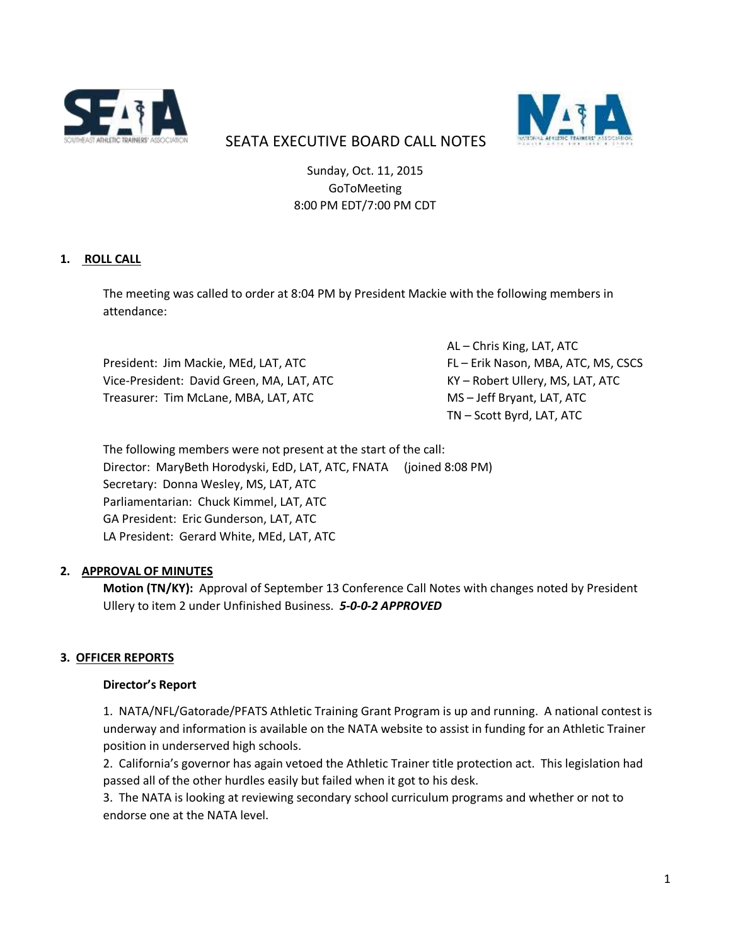



# SEATA EXECUTIVE BOARD CALL NOTES

Sunday, Oct. 11, 2015 GoToMeeting 8:00 PM EDT/7:00 PM CDT

## **1. ROLL CALL**

The meeting was called to order at 8:04 PM by President Mackie with the following members in attendance:

President: Jim Mackie, MEd, LAT, ATC FL FERIK Nason, MBA, ATC, MS, CSCS Vice-President: David Green, MA, LAT, ATC KY – Robert Ullery, MS, LAT, ATC Treasurer: Tim McLane, MBA, LAT, ATC MS – Jeff Bryant, LAT, ATC

AL – Chris King, LAT, ATC TN – Scott Byrd, LAT, ATC

The following members were not present at the start of the call: Director: MaryBeth Horodyski, EdD, LAT, ATC, FNATA (joined 8:08 PM) Secretary: Donna Wesley, MS, LAT, ATC Parliamentarian: Chuck Kimmel, LAT, ATC GA President: Eric Gunderson, LAT, ATC LA President: Gerard White, MEd, LAT, ATC

#### **2. APPROVAL OF MINUTES**

**Motion (TN/KY):** Approval of September 13 Conference Call Notes with changes noted by President Ullery to item 2 under Unfinished Business. *5-0-0-2 APPROVED*

#### **3. OFFICER REPORTS**

#### **Director's Report**

1. NATA/NFL/Gatorade/PFATS Athletic Training Grant Program is up and running. A national contest is underway and information is available on the NATA website to assist in funding for an Athletic Trainer position in underserved high schools.

2. California's governor has again vetoed the Athletic Trainer title protection act. This legislation had passed all of the other hurdles easily but failed when it got to his desk.

3. The NATA is looking at reviewing secondary school curriculum programs and whether or not to endorse one at the NATA level.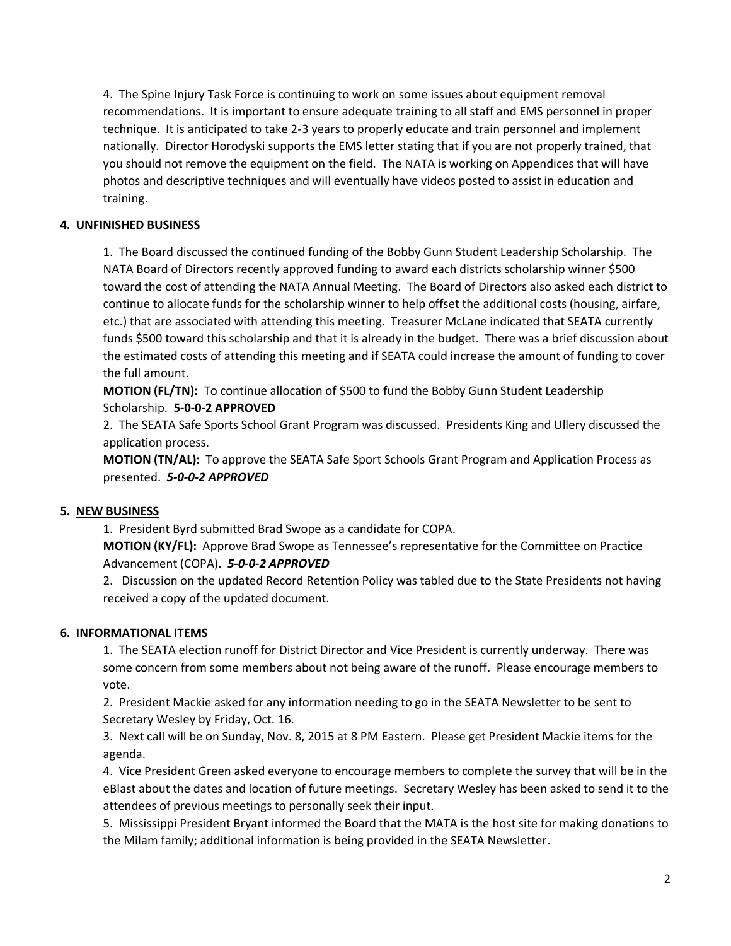4. The Spine Injury Task Force is continuing to work on some issues about equipment removal recommendations. It is important to ensure adequate training to all staff and EMS personnel in proper technique. It is anticipated to take 2-3 years to properly educate and train personnel and implement nationally. Director Horodyski supports the EMS letter stating that if you are not properly trained, that you should not remove the equipment on the field. The NATA is working on Appendices that will have photos and descriptive techniques and will eventually have videos posted to assist in education and training.

# **4. UNFINISHED BUSINESS**

1. The Board discussed the continued funding of the Bobby Gunn Student Leadership Scholarship. The NATA Board of Directors recently approved funding to award each districts scholarship winner \$500 toward the cost of attending the NATA Annual Meeting. The Board of Directors also asked each district to continue to allocate funds for the scholarship winner to help offset the additional costs (housing, airfare, etc.) that are associated with attending this meeting. Treasurer McLane indicated that SEATA currently funds \$500 toward this scholarship and that it is already in the budget. There was a brief discussion about the estimated costs of attending this meeting and if SEATA could increase the amount of funding to cover the full amount.

**MOTION (FL/TN):** To continue allocation of \$500 to fund the Bobby Gunn Student Leadership Scholarship. **5-0-0-2 APPROVED**

2. The SEATA Safe Sports School Grant Program was discussed. Presidents King and Ullery discussed the application process.

**MOTION (TN/AL):** To approve the SEATA Safe Sport Schools Grant Program and Application Process as presented. *5-0-0-2 APPROVED*

#### **5. NEW BUSINESS**

1. President Byrd submitted Brad Swope as a candidate for COPA.

**MOTION (KY/FL):** Approve Brad Swope as Tennessee's representative for the Committee on Practice Advancement (COPA). *5-0-0-2 APPROVED*

2. Discussion on the updated Record Retention Policy was tabled due to the State Presidents not having received a copy of the updated document.

#### **6. INFORMATIONAL ITEMS**

1. The SEATA election runoff for District Director and Vice President is currently underway. There was some concern from some members about not being aware of the runoff. Please encourage members to vote.

2. President Mackie asked for any information needing to go in the SEATA Newsletter to be sent to Secretary Wesley by Friday, Oct. 16.

3. Next call will be on Sunday, Nov. 8, 2015 at 8 PM Eastern. Please get President Mackie items for the agenda.

4. Vice President Green asked everyone to encourage members to complete the survey that will be in the eBlast about the dates and location of future meetings. Secretary Wesley has been asked to send it to the attendees of previous meetings to personally seek their input.

5. Mississippi President Bryant informed the Board that the MATA is the host site for making donations to the Milam family; additional information is being provided in the SEATA Newsletter.